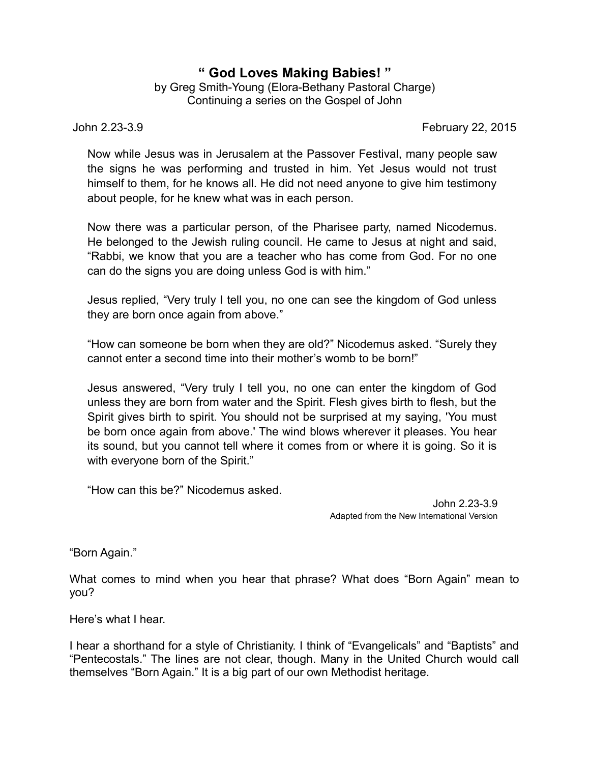## **" God Loves Making Babies! "**

by Greg Smith-Young (Elora-Bethany Pastoral Charge) Continuing a series on the Gospel of John

John 2.23-3.9 February 22, 2015

Now while Jesus was in Jerusalem at the Passover Festival, many people saw the signs he was performing and trusted in him. Yet Jesus would not trust himself to them, for he knows all. He did not need anyone to give him testimony about people, for he knew what was in each person.

Now there was a particular person, of the Pharisee party, named Nicodemus. He belonged to the Jewish ruling council. He came to Jesus at night and said, "Rabbi, we know that you are a teacher who has come from God. For no one can do the signs you are doing unless God is with him."

Jesus replied, "Very truly I tell you, no one can see the kingdom of God unless they are born once again from above."

"How can someone be born when they are old?" Nicodemus asked. "Surely they cannot enter a second time into their mother's womb to be born!"

Jesus answered, "Very truly I tell you, no one can enter the kingdom of God unless they are born from water and the Spirit. Flesh gives birth to flesh, but the Spirit gives birth to spirit. You should not be surprised at my saying, 'You must be born once again from above.' The wind blows wherever it pleases. You hear its sound, but you cannot tell where it comes from or where it is going. So it is with everyone born of the Spirit."

"How can this be?" Nicodemus asked.

John 2.23-3.9 Adapted from the New International Version

"Born Again."

What comes to mind when you hear that phrase? What does "Born Again" mean to you?

Here's what I hear.

I hear a shorthand for a style of Christianity. I think of "Evangelicals" and "Baptists" and "Pentecostals." The lines are not clear, though. Many in the United Church would call themselves "Born Again." It is a big part of our own Methodist heritage.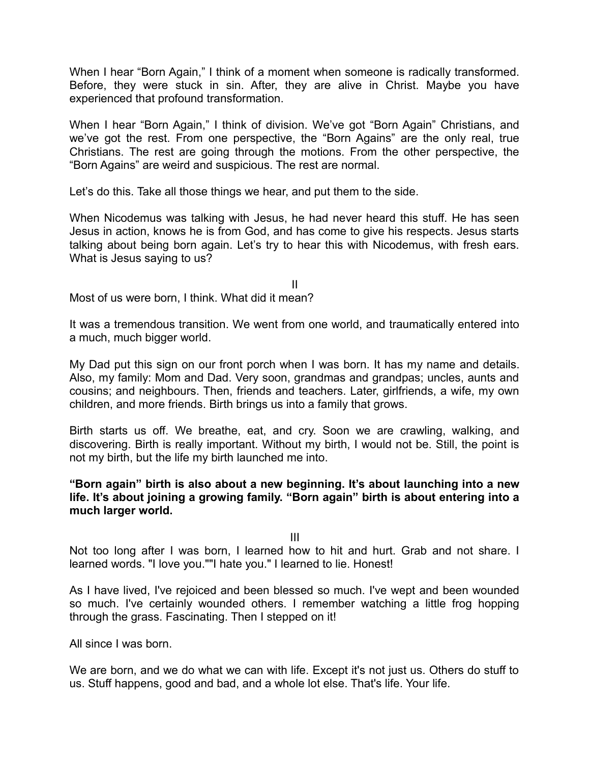When I hear "Born Again," I think of a moment when someone is radically transformed. Before, they were stuck in sin. After, they are alive in Christ. Maybe you have experienced that profound transformation.

When I hear "Born Again," I think of division. We've got "Born Again" Christians, and we've got the rest. From one perspective, the "Born Agains" are the only real, true Christians. The rest are going through the motions. From the other perspective, the "Born Agains" are weird and suspicious. The rest are normal.

Let's do this. Take all those things we hear, and put them to the side.

When Nicodemus was talking with Jesus, he had never heard this stuff. He has seen Jesus in action, knows he is from God, and has come to give his respects. Jesus starts talking about being born again. Let's try to hear this with Nicodemus, with fresh ears. What is Jesus saying to us?

II

Most of us were born, I think. What did it mean?

It was a tremendous transition. We went from one world, and traumatically entered into a much, much bigger world.

My Dad put this sign on our front porch when I was born. It has my name and details. Also, my family: Mom and Dad. Very soon, grandmas and grandpas; uncles, aunts and cousins; and neighbours. Then, friends and teachers. Later, girlfriends, a wife, my own children, and more friends. Birth brings us into a family that grows.

Birth starts us off. We breathe, eat, and cry. Soon we are crawling, walking, and discovering. Birth is really important. Without my birth, I would not be. Still, the point is not my birth, but the life my birth launched me into.

## **"Born again" birth is also about a new beginning. It's about launching into a new life. It's about joining a growing family. "Born again" birth is about entering into a much larger world.**

III

Not too long after I was born, I learned how to hit and hurt. Grab and not share. I learned words. "I love you.""I hate you." I learned to lie. Honest!

As I have lived, I've rejoiced and been blessed so much. I've wept and been wounded so much. I've certainly wounded others. I remember watching a little frog hopping through the grass. Fascinating. Then I stepped on it!

All since I was born.

We are born, and we do what we can with life. Except it's not just us. Others do stuff to us. Stuff happens, good and bad, and a whole lot else. That's life. Your life.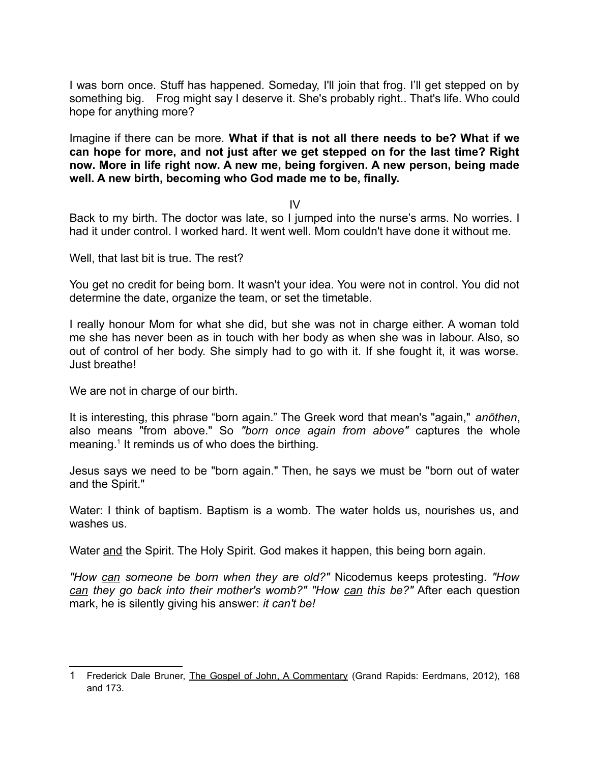I was born once. Stuff has happened. Someday, I'll join that frog. I'll get stepped on by something big. Frog might say I deserve it. She's probably right.. That's life. Who could hope for anything more?

Imagine if there can be more. **What if that is not all there needs to be? What if we can hope for more, and not just after we get stepped on for the last time? Right now. More in life right now. A new me, being forgiven. A new person, being made well. A new birth, becoming who God made me to be, finally.**

 $IV$ 

Back to my birth. The doctor was late, so I jumped into the nurse's arms. No worries. I had it under control. I worked hard. It went well. Mom couldn't have done it without me.

Well, that last bit is true. The rest?

You get no credit for being born. It wasn't your idea. You were not in control. You did not determine the date, organize the team, or set the timetable.

I really honour Mom for what she did, but she was not in charge either. A woman told me she has never been as in touch with her body as when she was in labour. Also, so out of control of her body. She simply had to go with it. If she fought it, it was worse. Just breathe!

We are not in charge of our birth.

It is interesting, this phrase "born again." The Greek word that mean's "again," *anōthen*, also means "from above." So *"born once again from above"* captures the whole meaning.<sup>[1](#page-2-0)</sup> It reminds us of who does the birthing.

Jesus says we need to be "born again." Then, he says we must be "born out of water and the Spirit."

Water: I think of baptism. Baptism is a womb. The water holds us, nourishes us, and washes us.

Water and the Spirit. The Holy Spirit. God makes it happen, this being born again.

*"How can someone be born when they are old?"* Nicodemus keeps protesting. *"How can they go back into their mother's womb?" "How can this be?"* After each question mark, he is silently giving his answer: *it can't be!*

<span id="page-2-0"></span><sup>1</sup> Frederick Dale Bruner, The Gospel of John, A Commentary (Grand Rapids: Eerdmans, 2012), 168 and 173.